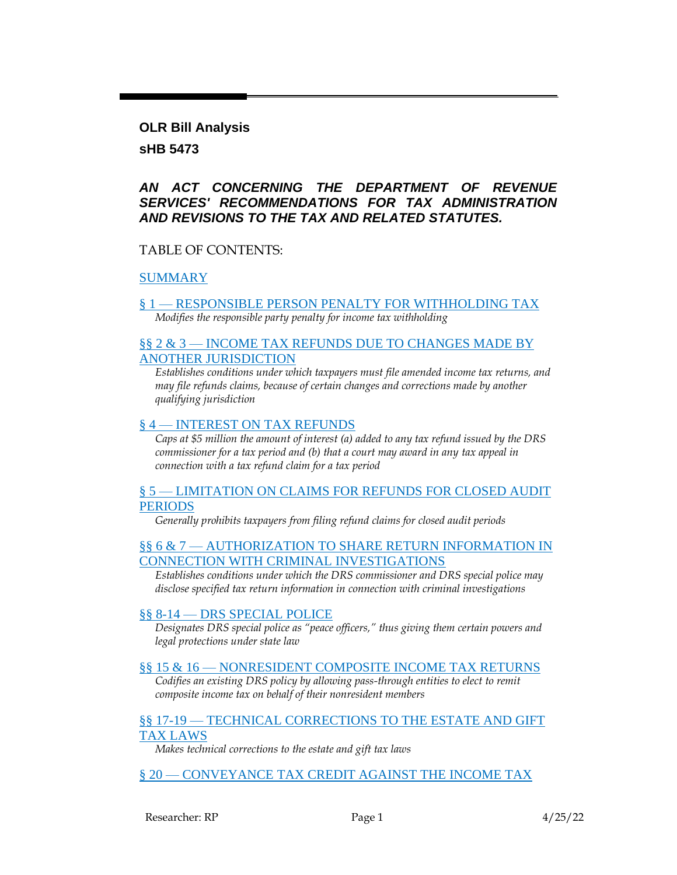#### **OLR Bill Analysis**

### **sHB 5473**

### *AN ACT CONCERNING THE DEPARTMENT OF REVENUE SERVICES' RECOMMENDATIONS FOR TAX ADMINISTRATION AND REVISIONS TO THE TAX AND RELATED STATUTES.*

### TABLE OF CONTENTS:

### [SUMMARY](#page-1-0)

§ 1 — [RESPONSIBLE PERSON PENALTY FOR WITHHOLDING TAX](#page-2-0) *Modifies the responsible party penalty for income tax withholding*

### §§ 2 & 3 — [INCOME TAX REFUNDS DUE TO CHANGES MADE BY](#page-3-0)  [ANOTHER JURISDICTION](#page-3-0)

*Establishes conditions under which taxpayers must file amended income tax returns, and may file refunds claims, because of certain changes and corrections made by another qualifying jurisdiction*

#### § 4 — [INTEREST ON TAX REFUNDS](#page-3-1)

*Caps at \$5 million the amount of interest (a) added to any tax refund issued by the DRS commissioner for a tax period and (b) that a court may award in any tax appeal in connection with a tax refund claim for a tax period*

#### § 5 — LIMITATION ON CLAIMS FOR REFUNDS FOR CLOSED AUDIT **[PERIODS](#page-3-2)**

*Generally prohibits taxpayers from filing refund claims for closed audit periods*

#### §§ 6 & 7 — AUTHORIZATION TO SHARE RETURN INFORMATION IN [CONNECTION WITH CRIMINAL INVESTIGATIONS](#page-4-0)

*Establishes conditions under which the DRS commissioner and DRS special police may disclose specified tax return information in connection with criminal investigations*

#### §§ 8-14 — [DRS SPECIAL POLICE](#page-5-0)

*Designates DRS special police as "peace officers," thus giving them certain powers and legal protections under state law*

#### §§ 15 & 16 — [NONRESIDENT COMPOSITE INCOME TAX RETURNS](#page-5-1)

*Codifies an existing DRS policy by allowing pass-through entities to elect to remit composite income tax on behalf of their nonresident members*

#### §§ 17-19 — [TECHNICAL CORRECTIONS TO THE ESTATE AND GIFT](#page-7-0)  [TAX LAWS](#page-7-0)

*Makes technical corrections to the estate and gift tax laws*

### § 20 — [CONVEYANCE TAX CREDIT AGAINST THE INCOME TAX](#page-7-1)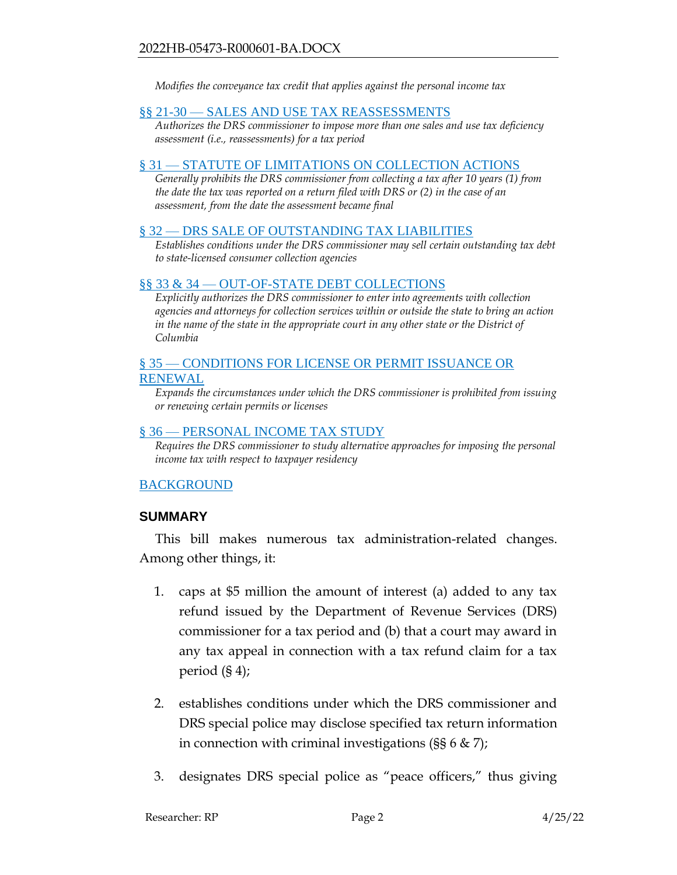*Modifies the conveyance tax credit that applies against the personal income tax*

#### §§ 21-30 — [SALES AND USE TAX REASSESSMENTS](#page-8-0)

*Authorizes the DRS commissioner to impose more than one sales and use tax deficiency assessment (i.e., reassessments) for a tax period*

#### § 31 — [STATUTE OF LIMITATIONS ON COLLECTION ACTIONS](#page-9-0)

*Generally prohibits the DRS commissioner from collecting a tax after 10 years (1) from the date the tax was reported on a return filed with DRS or (2) in the case of an assessment, from the date the assessment became final*

#### § 32 — [DRS SALE OF OUTSTANDING TAX LIABILITIES](#page-9-1)

*Establishes conditions under the DRS commissioner may sell certain outstanding tax debt to state-licensed consumer collection agencies*

#### §§ 33 & 34 — [OUT-OF-STATE DEBT COLLECTIONS](#page-11-0)

*Explicitly authorizes the DRS commissioner to enter into agreements with collection agencies and attorneys for collection services within or outside the state to bring an action*  in the name of the state in the appropriate court in any other state or the District of *Columbia*

#### § 35 — CONDITIONS FOR LICENSE OR PERMIT ISSUANCE OR [RENEWAL](#page-12-0)

*Expands the circumstances under which the DRS commissioner is prohibited from issuing or renewing certain permits or licenses*

#### § 36 — [PERSONAL INCOME TAX STUDY](#page-13-0)

*Requires the DRS commissioner to study alternative approaches for imposing the personal income tax with respect to taxpayer residency*

#### [BACKGROUND](#page-13-1)

#### <span id="page-1-0"></span>**SUMMARY**

This bill makes numerous tax administration-related changes. Among other things, it:

- 1. caps at \$5 million the amount of interest (a) added to any tax refund issued by the Department of Revenue Services (DRS) commissioner for a tax period and (b) that a court may award in any tax appeal in connection with a tax refund claim for a tax period (§ 4);
- 2. establishes conditions under which the DRS commissioner and DRS special police may disclose specified tax return information in connection with criminal investigations ( $\S$ § 6 & 7);
- 3. designates DRS special police as "peace officers," thus giving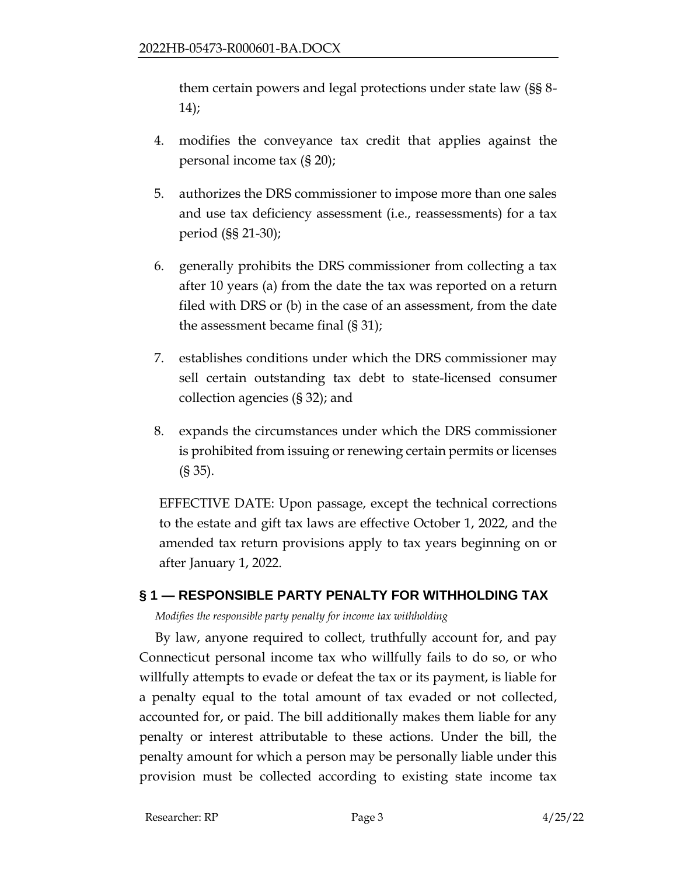them certain powers and legal protections under state law (§§ 8- 14);

- 4. modifies the conveyance tax credit that applies against the personal income tax (§ 20);
- 5. authorizes the DRS commissioner to impose more than one sales and use tax deficiency assessment (i.e., reassessments) for a tax period (§§ 21-30);
- 6. generally prohibits the DRS commissioner from collecting a tax after 10 years (a) from the date the tax was reported on a return filed with DRS or (b) in the case of an assessment, from the date the assessment became final (§ 31);
- 7. establishes conditions under which the DRS commissioner may sell certain outstanding tax debt to state-licensed consumer collection agencies (§ 32); and
- 8. expands the circumstances under which the DRS commissioner is prohibited from issuing or renewing certain permits or licenses (§ 35).

EFFECTIVE DATE: Upon passage, except the technical corrections to the estate and gift tax laws are effective October 1, 2022, and the amended tax return provisions apply to tax years beginning on or after January 1, 2022.

### <span id="page-2-0"></span>**§ 1 — RESPONSIBLE PARTY PENALTY FOR WITHHOLDING TAX**

*Modifies the responsible party penalty for income tax withholding*

By law, anyone required to collect, truthfully account for, and pay Connecticut personal income tax who willfully fails to do so, or who willfully attempts to evade or defeat the tax or its payment, is liable for a penalty equal to the total amount of tax evaded or not collected, accounted for, or paid. The bill additionally makes them liable for any penalty or interest attributable to these actions. Under the bill, the penalty amount for which a person may be personally liable under this provision must be collected according to existing state income tax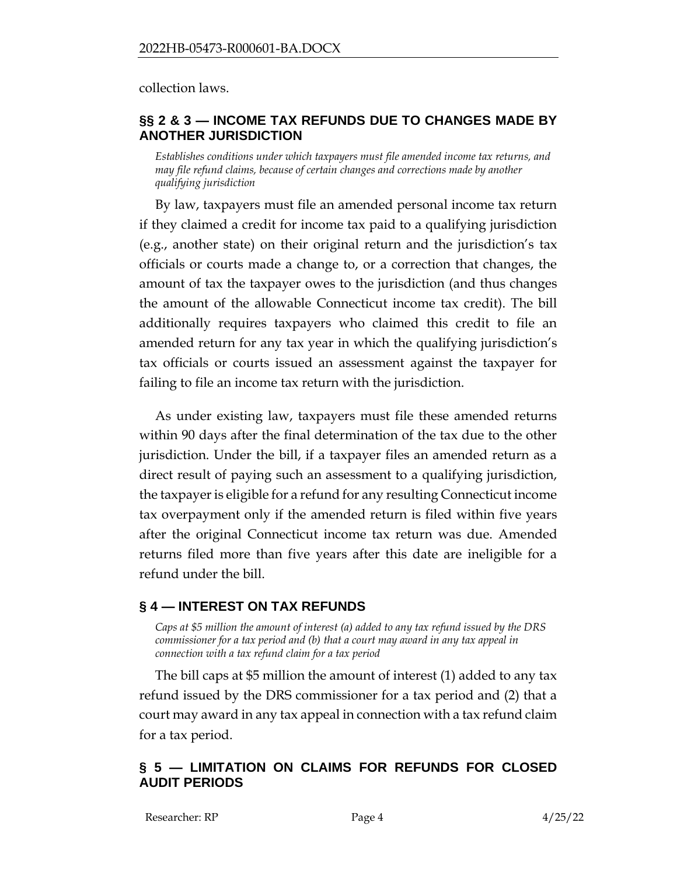collection laws.

### <span id="page-3-0"></span>**§§ 2 & 3 — INCOME TAX REFUNDS DUE TO CHANGES MADE BY ANOTHER JURISDICTION**

*Establishes conditions under which taxpayers must file amended income tax returns, and may file refund claims, because of certain changes and corrections made by another qualifying jurisdiction*

By law, taxpayers must file an amended personal income tax return if they claimed a credit for income tax paid to a qualifying jurisdiction (e.g., another state) on their original return and the jurisdiction's tax officials or courts made a change to, or a correction that changes, the amount of tax the taxpayer owes to the jurisdiction (and thus changes the amount of the allowable Connecticut income tax credit). The bill additionally requires taxpayers who claimed this credit to file an amended return for any tax year in which the qualifying jurisdiction's tax officials or courts issued an assessment against the taxpayer for failing to file an income tax return with the jurisdiction.

As under existing law, taxpayers must file these amended returns within 90 days after the final determination of the tax due to the other jurisdiction. Under the bill, if a taxpayer files an amended return as a direct result of paying such an assessment to a qualifying jurisdiction, the taxpayer is eligible for a refund for any resulting Connecticut income tax overpayment only if the amended return is filed within five years after the original Connecticut income tax return was due. Amended returns filed more than five years after this date are ineligible for a refund under the bill.

### <span id="page-3-1"></span>**§ 4 — INTEREST ON TAX REFUNDS**

*Caps at \$5 million the amount of interest (a) added to any tax refund issued by the DRS commissioner for a tax period and (b) that a court may award in any tax appeal in connection with a tax refund claim for a tax period*

The bill caps at \$5 million the amount of interest (1) added to any tax refund issued by the DRS commissioner for a tax period and (2) that a court may award in any tax appeal in connection with a tax refund claim for a tax period.

### <span id="page-3-2"></span>**§ 5 — LIMITATION ON CLAIMS FOR REFUNDS FOR CLOSED AUDIT PERIODS**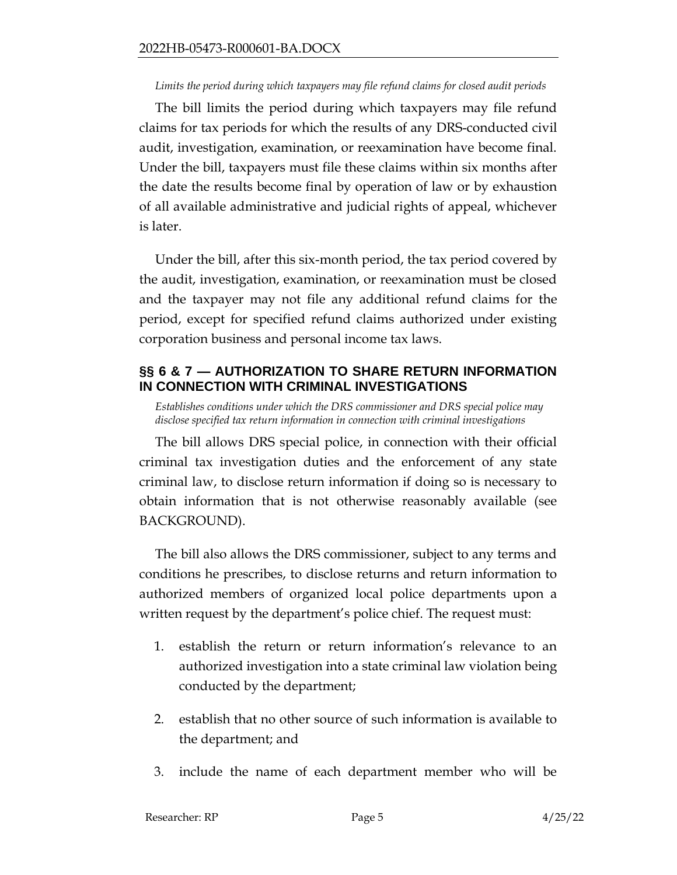#### *Limits the period during which taxpayers may file refund claims for closed audit periods*

The bill limits the period during which taxpayers may file refund claims for tax periods for which the results of any DRS-conducted civil audit, investigation, examination, or reexamination have become final. Under the bill, taxpayers must file these claims within six months after the date the results become final by operation of law or by exhaustion of all available administrative and judicial rights of appeal, whichever is later.

Under the bill, after this six-month period, the tax period covered by the audit, investigation, examination, or reexamination must be closed and the taxpayer may not file any additional refund claims for the period, except for specified refund claims authorized under existing corporation business and personal income tax laws.

### <span id="page-4-0"></span>**§§ 6 & 7 — AUTHORIZATION TO SHARE RETURN INFORMATION IN CONNECTION WITH CRIMINAL INVESTIGATIONS**

*Establishes conditions under which the DRS commissioner and DRS special police may disclose specified tax return information in connection with criminal investigations*

The bill allows DRS special police, in connection with their official criminal tax investigation duties and the enforcement of any state criminal law, to disclose return information if doing so is necessary to obtain information that is not otherwise reasonably available (see BACKGROUND).

The bill also allows the DRS commissioner, subject to any terms and conditions he prescribes, to disclose returns and return information to authorized members of organized local police departments upon a written request by the department's police chief. The request must:

- 1. establish the return or return information's relevance to an authorized investigation into a state criminal law violation being conducted by the department;
- 2. establish that no other source of such information is available to the department; and
- 3. include the name of each department member who will be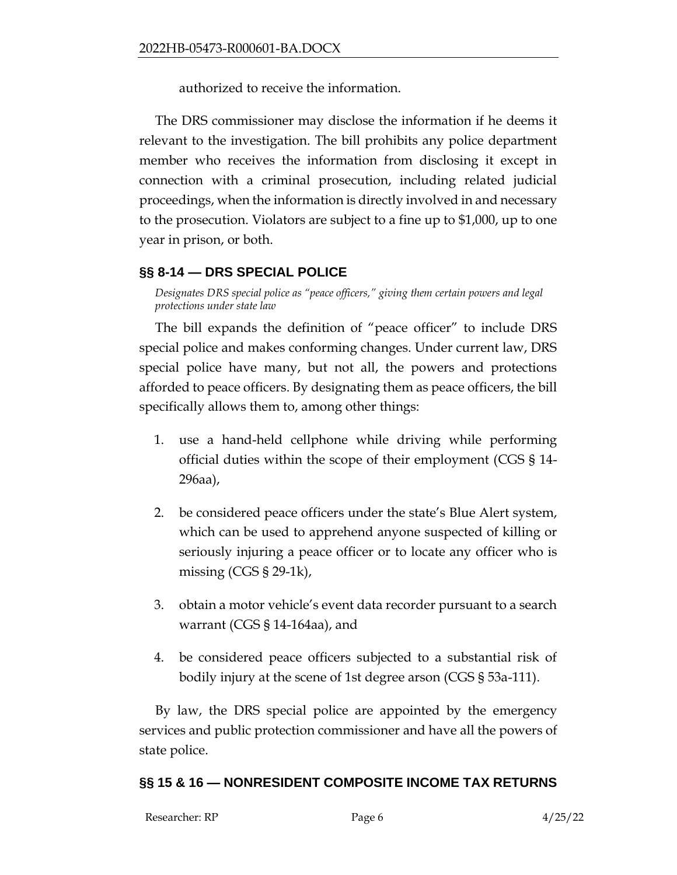authorized to receive the information.

The DRS commissioner may disclose the information if he deems it relevant to the investigation. The bill prohibits any police department member who receives the information from disclosing it except in connection with a criminal prosecution, including related judicial proceedings, when the information is directly involved in and necessary to the prosecution. Violators are subject to a fine up to \$1,000, up to one year in prison, or both.

### <span id="page-5-0"></span>**§§ 8-14 — DRS SPECIAL POLICE**

*Designates DRS special police as "peace officers," giving them certain powers and legal protections under state law*

The bill expands the definition of "peace officer" to include DRS special police and makes conforming changes. Under current law, DRS special police have many, but not all, the powers and protections afforded to peace officers. By designating them as peace officers, the bill specifically allows them to, among other things:

- 1. use a hand-held cellphone while driving while performing official duties within the scope of their employment (CGS § 14- 296aa),
- 2. be considered peace officers under the state's Blue Alert system, which can be used to apprehend anyone suspected of killing or seriously injuring a peace officer or to locate any officer who is missing  $(CGS \S 29-1k)$ ,
- 3. obtain a motor vehicle's event data recorder pursuant to a search warrant (CGS § 14-164aa), and
- 4. be considered peace officers subjected to a substantial risk of bodily injury at the scene of 1st degree arson (CGS § 53a-111).

By law, the DRS special police are appointed by the emergency services and public protection commissioner and have all the powers of state police.

### <span id="page-5-1"></span>**§§ 15 & 16 — NONRESIDENT COMPOSITE INCOME TAX RETURNS**

| Researcher: RP | Page 6 | 4/25/22 |
|----------------|--------|---------|
|                |        |         |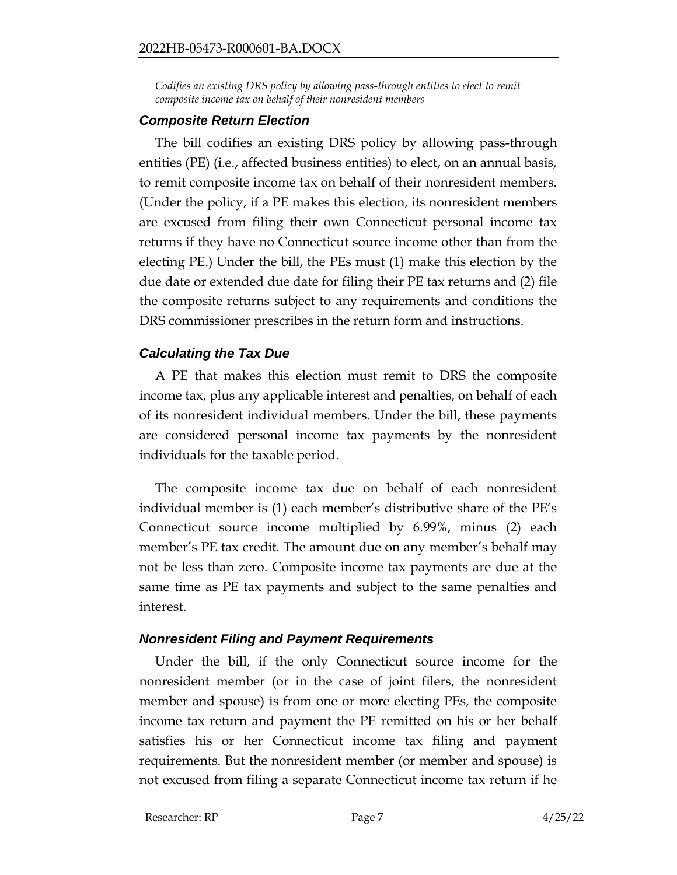Codifies an existing DRS policy by allowing pass-through entities to elect to remit *composite income tax on behalf of their nonresident members*

### *Composite Return Election*

The bill codifies an existing DRS policy by allowing pass-through entities (PE) (i.e., affected business entities) to elect, on an annual basis, to remit composite income tax on behalf of their nonresident members. (Under the policy, if a PE makes this election, its nonresident members are excused from filing their own Connecticut personal income tax returns if they have no Connecticut source income other than from the electing PE.) Under the bill, the PEs must (1) make this election by the due date or extended due date for filing their PE tax returns and (2) file the composite returns subject to any requirements and conditions the DRS commissioner prescribes in the return form and instructions.

### *Calculating the Tax Due*

A PE that makes this election must remit to DRS the composite income tax, plus any applicable interest and penalties, on behalf of each of its nonresident individual members. Under the bill, these payments are considered personal income tax payments by the nonresident individuals for the taxable period.

The composite income tax due on behalf of each nonresident individual member is (1) each member's distributive share of the PE's Connecticut source income multiplied by 6.99%, minus (2) each member's PE tax credit. The amount due on any member's behalf may not be less than zero. Composite income tax payments are due at the same time as PE tax payments and subject to the same penalties and interest.

### *Nonresident Filing and Payment Requirements*

Under the bill, if the only Connecticut source income for the nonresident member (or in the case of joint filers, the nonresident member and spouse) is from one or more electing PEs, the composite income tax return and payment the PE remitted on his or her behalf satisfies his or her Connecticut income tax filing and payment requirements. But the nonresident member (or member and spouse) is not excused from filing a separate Connecticut income tax return if he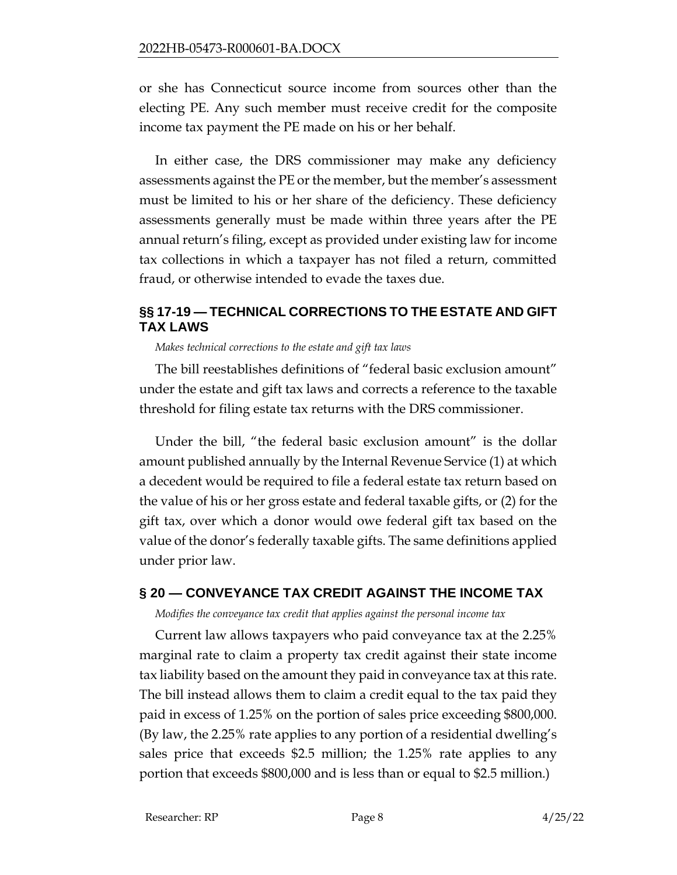or she has Connecticut source income from sources other than the electing PE. Any such member must receive credit for the composite income tax payment the PE made on his or her behalf.

In either case, the DRS commissioner may make any deficiency assessments against the PE or the member, but the member's assessment must be limited to his or her share of the deficiency. These deficiency assessments generally must be made within three years after the PE annual return's filing, except as provided under existing law for income tax collections in which a taxpayer has not filed a return, committed fraud, or otherwise intended to evade the taxes due.

## <span id="page-7-0"></span>**§§ 17-19 — TECHNICAL CORRECTIONS TO THE ESTATE AND GIFT TAX LAWS**

#### *Makes technical corrections to the estate and gift tax laws*

The bill reestablishes definitions of "federal basic exclusion amount" under the estate and gift tax laws and corrects a reference to the taxable threshold for filing estate tax returns with the DRS commissioner.

Under the bill, "the federal basic exclusion amount" is the dollar amount published annually by the Internal Revenue Service (1) at which a decedent would be required to file a federal estate tax return based on the value of his or her gross estate and federal taxable gifts, or (2) for the gift tax, over which a donor would owe federal gift tax based on the value of the donor's federally taxable gifts. The same definitions applied under prior law.

### <span id="page-7-1"></span>**§ 20 — CONVEYANCE TAX CREDIT AGAINST THE INCOME TAX**

*Modifies the conveyance tax credit that applies against the personal income tax*

Current law allows taxpayers who paid conveyance tax at the 2.25% marginal rate to claim a property tax credit against their state income tax liability based on the amount they paid in conveyance tax at this rate. The bill instead allows them to claim a credit equal to the tax paid they paid in excess of 1.25% on the portion of sales price exceeding \$800,000. (By law, the 2.25% rate applies to any portion of a residential dwelling's sales price that exceeds \$2.5 million; the 1.25% rate applies to any portion that exceeds \$800,000 and is less than or equal to \$2.5 million.)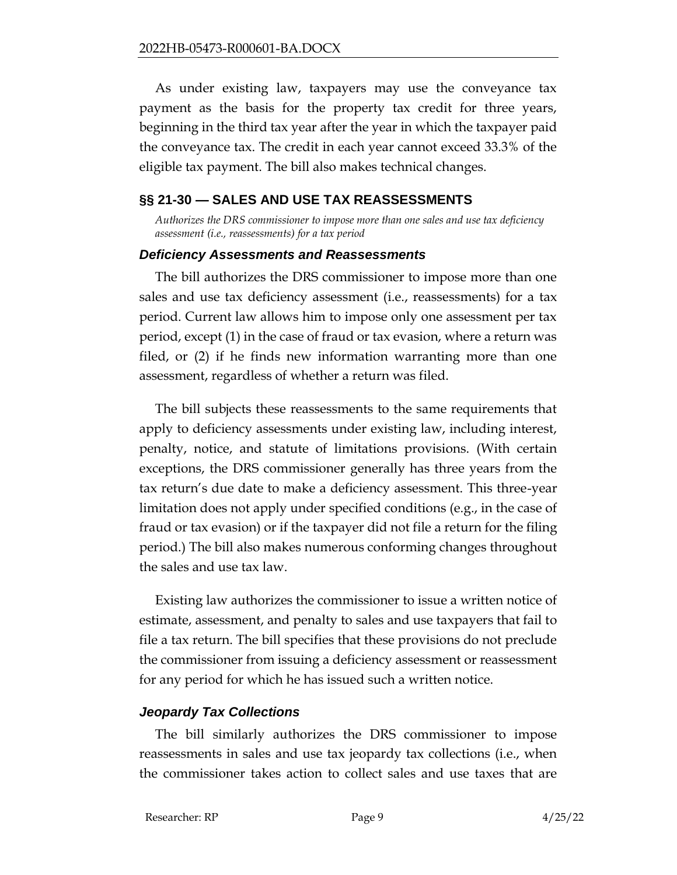As under existing law, taxpayers may use the conveyance tax payment as the basis for the property tax credit for three years, beginning in the third tax year after the year in which the taxpayer paid the conveyance tax. The credit in each year cannot exceed 33.3% of the eligible tax payment. The bill also makes technical changes.

### <span id="page-8-0"></span>**§§ 21-30 — SALES AND USE TAX REASSESSMENTS**

*Authorizes the DRS commissioner to impose more than one sales and use tax deficiency assessment (i.e., reassessments) for a tax period*

#### *Deficiency Assessments and Reassessments*

The bill authorizes the DRS commissioner to impose more than one sales and use tax deficiency assessment (i.e., reassessments) for a tax period. Current law allows him to impose only one assessment per tax period, except (1) in the case of fraud or tax evasion, where a return was filed, or (2) if he finds new information warranting more than one assessment, regardless of whether a return was filed.

The bill subjects these reassessments to the same requirements that apply to deficiency assessments under existing law, including interest, penalty, notice, and statute of limitations provisions. (With certain exceptions, the DRS commissioner generally has three years from the tax return's due date to make a deficiency assessment. This three-year limitation does not apply under specified conditions (e.g., in the case of fraud or tax evasion) or if the taxpayer did not file a return for the filing period.) The bill also makes numerous conforming changes throughout the sales and use tax law.

Existing law authorizes the commissioner to issue a written notice of estimate, assessment, and penalty to sales and use taxpayers that fail to file a tax return. The bill specifies that these provisions do not preclude the commissioner from issuing a deficiency assessment or reassessment for any period for which he has issued such a written notice.

#### *Jeopardy Tax Collections*

The bill similarly authorizes the DRS commissioner to impose reassessments in sales and use tax jeopardy tax collections (i.e., when the commissioner takes action to collect sales and use taxes that are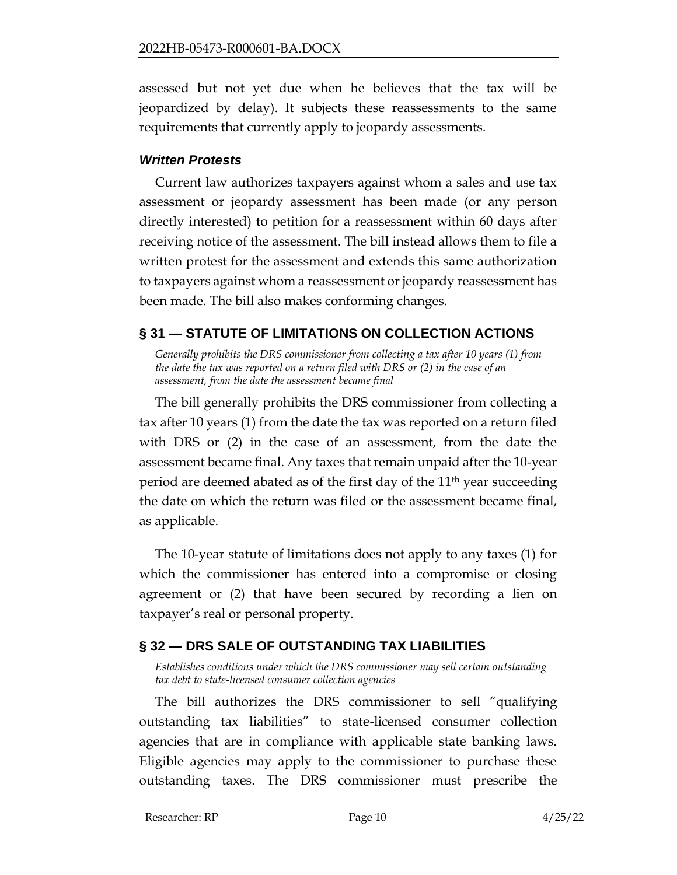assessed but not yet due when he believes that the tax will be jeopardized by delay). It subjects these reassessments to the same requirements that currently apply to jeopardy assessments.

### *Written Protests*

Current law authorizes taxpayers against whom a sales and use tax assessment or jeopardy assessment has been made (or any person directly interested) to petition for a reassessment within 60 days after receiving notice of the assessment. The bill instead allows them to file a written protest for the assessment and extends this same authorization to taxpayers against whom a reassessment or jeopardy reassessment has been made. The bill also makes conforming changes.

## <span id="page-9-0"></span>**§ 31 — STATUTE OF LIMITATIONS ON COLLECTION ACTIONS**

*Generally prohibits the DRS commissioner from collecting a tax after 10 years (1) from the date the tax was reported on a return filed with DRS or (2) in the case of an assessment, from the date the assessment became final*

The bill generally prohibits the DRS commissioner from collecting a tax after 10 years (1) from the date the tax was reported on a return filed with DRS or (2) in the case of an assessment, from the date the assessment became final. Any taxes that remain unpaid after the 10-year period are deemed abated as of the first day of the 11th year succeeding the date on which the return was filed or the assessment became final, as applicable.

The 10-year statute of limitations does not apply to any taxes (1) for which the commissioner has entered into a compromise or closing agreement or (2) that have been secured by recording a lien on taxpayer's real or personal property.

## <span id="page-9-1"></span>**§ 32 — DRS SALE OF OUTSTANDING TAX LIABILITIES**

*Establishes conditions under which the DRS commissioner may sell certain outstanding tax debt to state-licensed consumer collection agencies*

The bill authorizes the DRS commissioner to sell "qualifying outstanding tax liabilities" to state-licensed consumer collection agencies that are in compliance with applicable state banking laws. Eligible agencies may apply to the commissioner to purchase these outstanding taxes. The DRS commissioner must prescribe the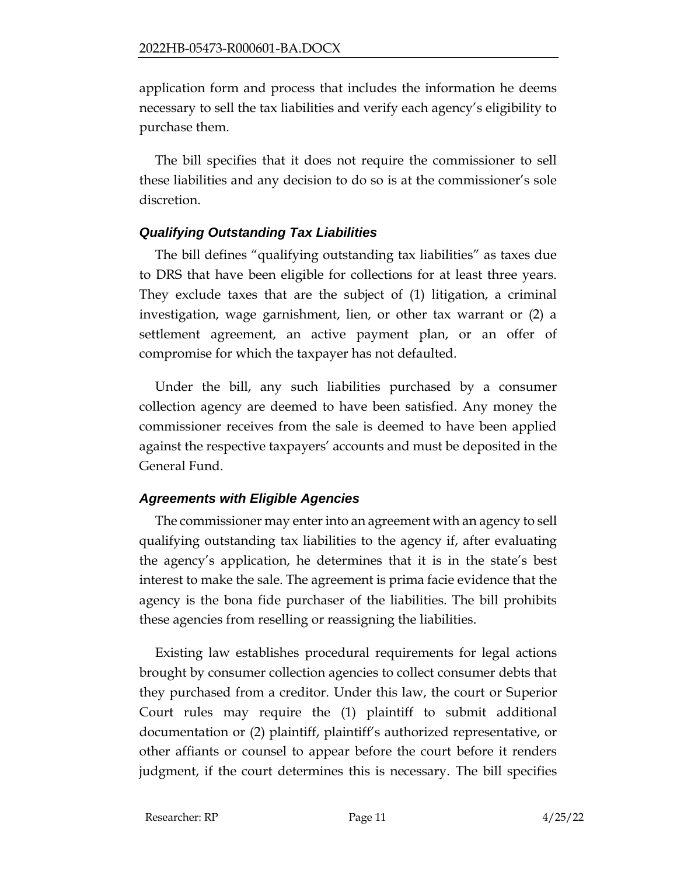application form and process that includes the information he deems necessary to sell the tax liabilities and verify each agency's eligibility to purchase them.

The bill specifies that it does not require the commissioner to sell these liabilities and any decision to do so is at the commissioner's sole discretion.

## *Qualifying Outstanding Tax Liabilities*

The bill defines "qualifying outstanding tax liabilities" as taxes due to DRS that have been eligible for collections for at least three years. They exclude taxes that are the subject of (1) litigation, a criminal investigation, wage garnishment, lien, or other tax warrant or (2) a settlement agreement, an active payment plan, or an offer of compromise for which the taxpayer has not defaulted.

Under the bill, any such liabilities purchased by a consumer collection agency are deemed to have been satisfied. Any money the commissioner receives from the sale is deemed to have been applied against the respective taxpayers' accounts and must be deposited in the General Fund.

## *Agreements with Eligible Agencies*

The commissioner may enter into an agreement with an agency to sell qualifying outstanding tax liabilities to the agency if, after evaluating the agency's application, he determines that it is in the state's best interest to make the sale. The agreement is prima facie evidence that the agency is the bona fide purchaser of the liabilities. The bill prohibits these agencies from reselling or reassigning the liabilities.

Existing law establishes procedural requirements for legal actions brought by consumer collection agencies to collect consumer debts that they purchased from a creditor. Under this law, the court or Superior Court rules may require the (1) plaintiff to submit additional documentation or (2) plaintiff, plaintiff's authorized representative, or other affiants or counsel to appear before the court before it renders judgment, if the court determines this is necessary. The bill specifies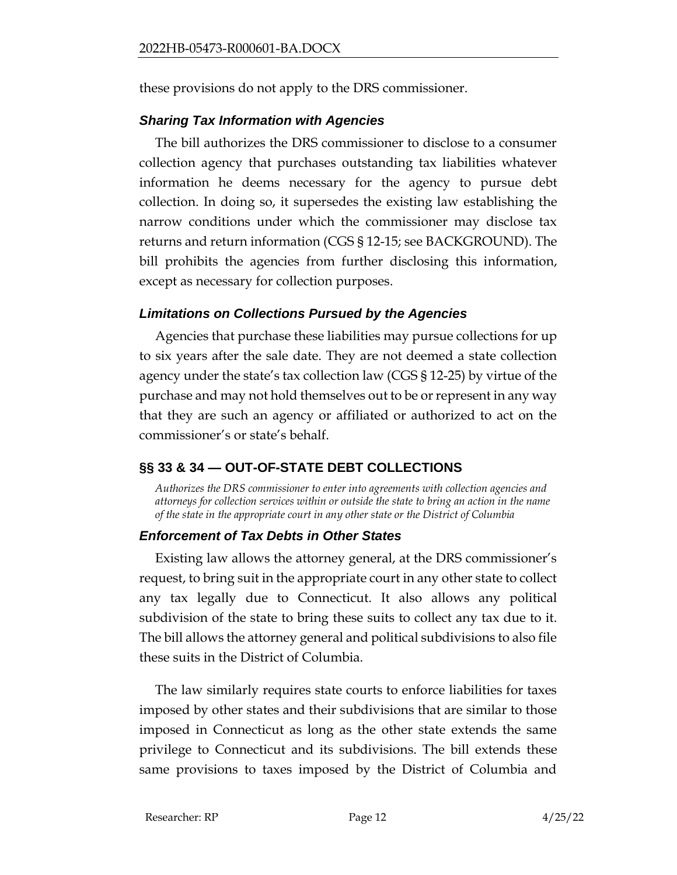these provisions do not apply to the DRS commissioner.

## *Sharing Tax Information with Agencies*

The bill authorizes the DRS commissioner to disclose to a consumer collection agency that purchases outstanding tax liabilities whatever information he deems necessary for the agency to pursue debt collection. In doing so, it supersedes the existing law establishing the narrow conditions under which the commissioner may disclose tax returns and return information (CGS § 12-15; see BACKGROUND). The bill prohibits the agencies from further disclosing this information, except as necessary for collection purposes.

### *Limitations on Collections Pursued by the Agencies*

Agencies that purchase these liabilities may pursue collections for up to six years after the sale date. They are not deemed a state collection agency under the state's tax collection law (CGS § 12-25) by virtue of the purchase and may not hold themselves out to be or represent in any way that they are such an agency or affiliated or authorized to act on the commissioner's or state's behalf.

# <span id="page-11-0"></span>**§§ 33 & 34 — OUT-OF-STATE DEBT COLLECTIONS**

*Authorizes the DRS commissioner to enter into agreements with collection agencies and attorneys for collection services within or outside the state to bring an action in the name of the state in the appropriate court in any other state or the District of Columbia*

## *Enforcement of Tax Debts in Other States*

Existing law allows the attorney general, at the DRS commissioner's request, to bring suit in the appropriate court in any other state to collect any tax legally due to Connecticut. It also allows any political subdivision of the state to bring these suits to collect any tax due to it. The bill allows the attorney general and political subdivisions to also file these suits in the District of Columbia.

The law similarly requires state courts to enforce liabilities for taxes imposed by other states and their subdivisions that are similar to those imposed in Connecticut as long as the other state extends the same privilege to Connecticut and its subdivisions. The bill extends these same provisions to taxes imposed by the District of Columbia and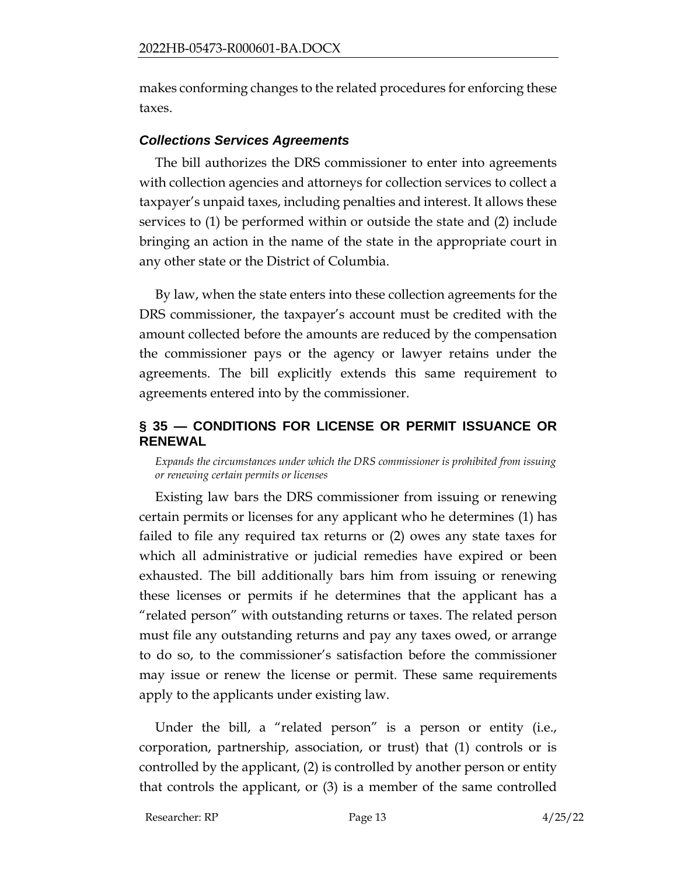makes conforming changes to the related procedures for enforcing these taxes.

### *Collections Services Agreements*

The bill authorizes the DRS commissioner to enter into agreements with collection agencies and attorneys for collection services to collect a taxpayer's unpaid taxes, including penalties and interest. It allows these services to (1) be performed within or outside the state and (2) include bringing an action in the name of the state in the appropriate court in any other state or the District of Columbia.

By law, when the state enters into these collection agreements for the DRS commissioner, the taxpayer's account must be credited with the amount collected before the amounts are reduced by the compensation the commissioner pays or the agency or lawyer retains under the agreements. The bill explicitly extends this same requirement to agreements entered into by the commissioner.

### <span id="page-12-0"></span>**§ 35 — CONDITIONS FOR LICENSE OR PERMIT ISSUANCE OR RENEWAL**

*Expands the circumstances under which the DRS commissioner is prohibited from issuing or renewing certain permits or licenses*

Existing law bars the DRS commissioner from issuing or renewing certain permits or licenses for any applicant who he determines (1) has failed to file any required tax returns or (2) owes any state taxes for which all administrative or judicial remedies have expired or been exhausted. The bill additionally bars him from issuing or renewing these licenses or permits if he determines that the applicant has a "related person" with outstanding returns or taxes. The related person must file any outstanding returns and pay any taxes owed, or arrange to do so, to the commissioner's satisfaction before the commissioner may issue or renew the license or permit. These same requirements apply to the applicants under existing law.

Under the bill, a "related person" is a person or entity (i.e., corporation, partnership, association, or trust) that (1) controls or is controlled by the applicant, (2) is controlled by another person or entity that controls the applicant, or (3) is a member of the same controlled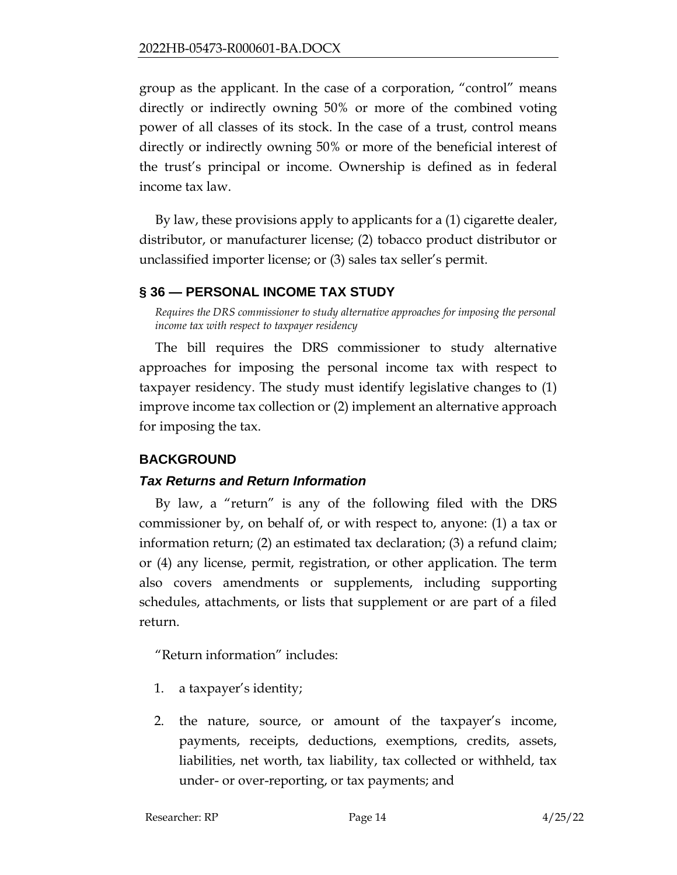group as the applicant. In the case of a corporation, "control" means directly or indirectly owning 50% or more of the combined voting power of all classes of its stock. In the case of a trust, control means directly or indirectly owning 50% or more of the beneficial interest of the trust's principal or income. Ownership is defined as in federal income tax law.

By law, these provisions apply to applicants for a (1) cigarette dealer, distributor, or manufacturer license; (2) tobacco product distributor or unclassified importer license; or (3) sales tax seller's permit.

## <span id="page-13-0"></span>**§ 36 — PERSONAL INCOME TAX STUDY**

*Requires the DRS commissioner to study alternative approaches for imposing the personal income tax with respect to taxpayer residency*

The bill requires the DRS commissioner to study alternative approaches for imposing the personal income tax with respect to taxpayer residency. The study must identify legislative changes to (1) improve income tax collection or (2) implement an alternative approach for imposing the tax.

## <span id="page-13-1"></span>**BACKGROUND**

### *Tax Returns and Return Information*

By law, a "return" is any of the following filed with the DRS commissioner by, on behalf of, or with respect to, anyone: (1) a tax or information return; (2) an estimated tax declaration; (3) a refund claim; or (4) any license, permit, registration, or other application. The term also covers amendments or supplements, including supporting schedules, attachments, or lists that supplement or are part of a filed return.

"Return information" includes:

- 1. a taxpayer's identity;
- 2. the nature, source, or amount of the taxpayer's income, payments, receipts, deductions, exemptions, credits, assets, liabilities, net worth, tax liability, tax collected or withheld, tax under- or over-reporting, or tax payments; and